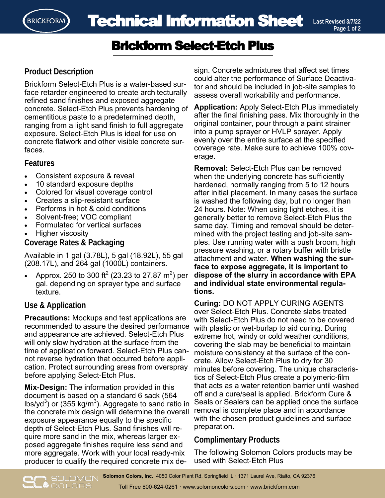

# Brickform Select-Etch Plus

### **Product Description**

Brickform Select-Etch Plus is a water-based surface retarder engineered to create architecturally refined sand finishes and exposed aggregate concrete. Select-Etch Plus prevents hardening of cementitious paste to a predetermined depth, ranging from a light sand finish to full aggregate exposure. Select-Etch Plus is ideal for use on concrete flatwork and other visible concrete surfaces.

#### **Features**

- Consistent exposure & reveal
- 10 standard exposure depths
- Colored for visual coverage control
- Creates a slip-resistant surface
- Performs in hot & cold conditions
- Solvent-free; VOC compliant
- Formulated for vertical surfaces
- Higher viscosity

**Coverage Rates & Packaging** 

Available in 1 gal (3.78L), 5 gal (18.92L), 55 gal (208.17L), and 264 gal (1000L) containers.

• Approx. 250 to 300 ft<sup>2</sup> (23.23 to 27.87 m<sup>2</sup>) per gal. depending on sprayer type and surface texture.

### **Use & Application**

**O**COLORS

**Precautions:** Mockups and test applications are recommended to assure the desired performance and appearance are achieved. Select-Etch Plus will only slow hydration at the surface from the time of application forward. Select-Etch Plus cannot reverse hydration that occurred before application. Protect surrounding areas from overspray before applying Select-Etch Plus.

**Mix-Design:** The information provided in this document is based on a standard 6 sack (564 lbs/yd $^3$ ) or (355 kg/m $^3$ ). Aggregate to sand ratio in the concrete mix design will determine the overall exposure appearance equally to the specific depth of Select-Etch Plus. Sand finishes will require more sand in the mix, whereas larger exposed aggregate finishes require less sand and more aggregate. Work with your local ready-mix producer to qualify the required concrete mix de-

sign. Concrete admixtures that affect set times could alter the performance of Surface Deactivator and should be included in job-site samples to assess overall workability and performance.

**Application:** Apply Select-Etch Plus immediately after the final finishing pass. Mix thoroughly in the original container, pour through a paint strainer into a pump sprayer or HVLP sprayer. Apply evenly over the entire surface at the specified coverage rate. Make sure to achieve 100% coverage.

**Removal:** Select-Etch Plus can be removed when the underlying concrete has sufficiently hardened, normally ranging from 5 to 12 hours after initial placement. In many cases the surface is washed the following day, but no longer than 24 hours. Note: When using light etches, it is generally better to remove Select-Etch Plus the same day. Timing and removal should be determined with the project testing and job-site samples. Use running water with a push broom, high pressure washing, or a rotary buffer with bristle attachment and water. **When washing the surface to expose aggregate, it is important to dispose of the slurry in accordance with EPA and individual state environmental regulations.** 

**Curing:** DO NOT APPLY CURING AGENTS over Select-Etch Plus. Concrete slabs treated with Select-Etch Plus do not need to be covered with plastic or wet-burlap to aid curing. During extreme hot, windy or cold weather conditions, covering the slab may be beneficial to maintain moisture consistency at the surface of the concrete. Allow Select-Etch Plus to dry for 30 minutes before covering. The unique characteristics of Select-Etch Plus create a polymeric-film that acts as a water retention barrier until washed off and a cure/seal is applied. Brickform Cure & Seals or Sealers can be applied once the surface removal is complete place and in accordance with the chosen product guidelines and surface preparation.

## **Complimentary Products**

The following Solomon Colors products may be used with Select-Etch Plus

**Solomon Colors, Inc.** 4050 Color Plant Rd, Springfield IL · 1371 Laurel Ave, Rialto, CA 92376 Toll Free 800-624-0261 · www.solomoncolors.com · www.brickform.com